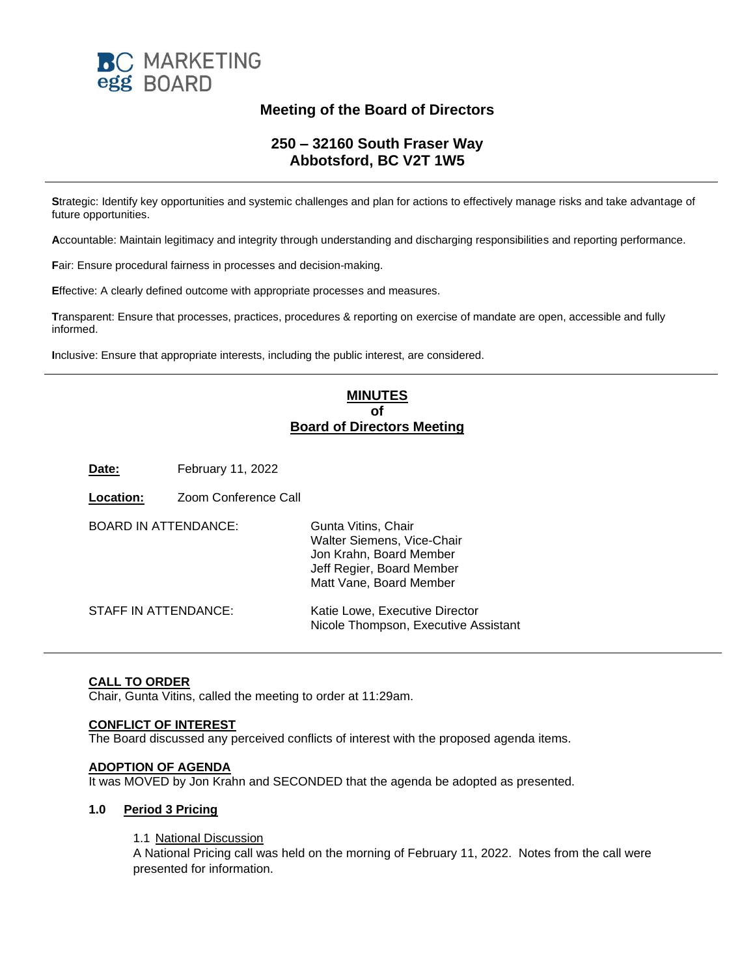

# **Meeting of the Board of Directors**

# **250 – 32160 South Fraser Way Abbotsford, BC V2T 1W5**

**S**trategic: Identify key opportunities and systemic challenges and plan for actions to effectively manage risks and take advantage of future opportunities.

**A**ccountable: Maintain legitimacy and integrity through understanding and discharging responsibilities and reporting performance.

**F**air: Ensure procedural fairness in processes and decision-making.

**E**ffective: A clearly defined outcome with appropriate processes and measures.

**T**ransparent: Ensure that processes, practices, procedures & reporting on exercise of mandate are open, accessible and fully informed.

**I**nclusive: Ensure that appropriate interests, including the public interest, are considered.

# **MINUTES of Board of Directors Meeting**

**Date:** February 11, 2022

**Location:** Zoom Conference Call

| <b>BOARD IN ATTENDANCE:</b> | Gunta Vitins, Chair<br>Walter Siemens, Vice-Chair<br>Jon Krahn, Board Member<br>Jeff Regier, Board Member<br>Matt Vane, Board Member |
|-----------------------------|--------------------------------------------------------------------------------------------------------------------------------------|
| STAFF IN ATTENDANCE:        | Katie Lowe, Executive Director<br>Nicole Thompson, Executive Assistant                                                               |

### **CALL TO ORDER**

Chair, Gunta Vitins, called the meeting to order at 11:29am.

### **CONFLICT OF INTEREST**

The Board discussed any perceived conflicts of interest with the proposed agenda items.

#### **ADOPTION OF AGENDA**

It was MOVED by Jon Krahn and SECONDED that the agenda be adopted as presented.

#### **1.0 Period 3 Pricing**

1.1 National Discussion

A National Pricing call was held on the morning of February 11, 2022. Notes from the call were presented for information.